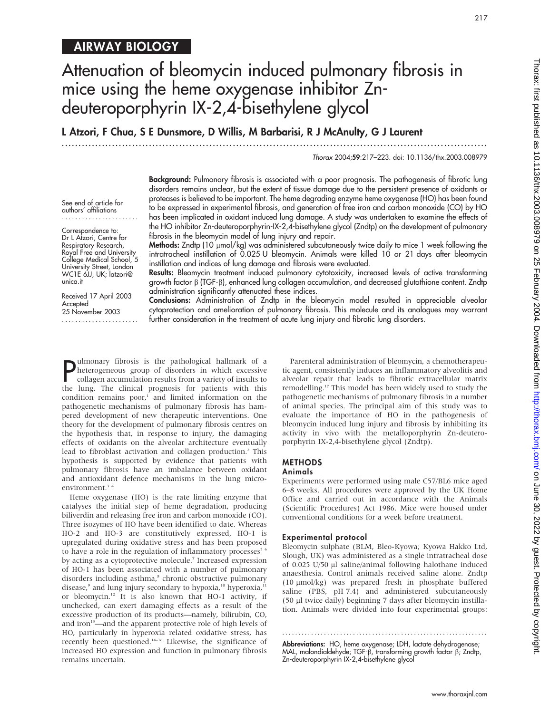## AIRWAY BIOLOGY

# Attenuation of bleomycin induced pulmonary fibrosis in mice using the heme oxygenase inhibitor Zndeuteroporphyrin IX-2,4-bisethylene glycol

L Atzori, F Chua, S E Dunsmore, D Willis, M Barbarisi, R J McAnulty, G J Laurent

.............................................................................................................................. .

Thorax 2004;59:217–223. doi: 10.1136/thx.2003.008979

See end of article for authors' affiliations .......................

Correspondence to: Dr L Atzori, Centre for Respiratory Research, Royal Free and University College Medical School, 5 University Street, London WC1E 6JJ, UK; latzori@ unica.it

Received 17 April 2003 Accepted 25 November 2003 ....................... Background: Pulmonary fibrosis is associated with a poor prognosis. The pathogenesis of fibrotic lung disorders remains unclear, but the extent of tissue damage due to the persistent presence of oxidants or proteases is believed to be important. The heme degrading enzyme heme oxygenase (HO) has been found to be expressed in experimental fibrosis, and generation of free iron and carbon monoxide (CO) by HO has been implicated in oxidant induced lung damage. A study was undertaken to examine the effects of the HO inhibitor Zn-deuteroporphyrin-IX-2,4-bisethylene glycol (Zndtp) on the development of pulmonary fibrosis in the bleomycin model of lung injury and repair.

Methods: Zndtp (10 umol/kg) was administered subcutaneously twice daily to mice 1 week following the intratracheal instillation of 0.025 U bleomycin. Animals were killed 10 or 21 days after bleomycin instillation and indices of lung damage and fibrosis were evaluated.

Results: Bleomycin treatment induced pulmonary cytotoxicity, increased levels of active transforming growth factor  $\beta$  (TGF- $\beta$ ), enhanced lung collagen accumulation, and decreased glutathione content. Zndtp administration significantly attenuated these indices.

Conclusions: Administration of Zndtp in the bleomycin model resulted in appreciable alveolar cytoprotection and amelioration of pulmonary fibrosis. This molecule and its analogues may warrant further consideration in the treatment of acute lung injury and fibrotic lung disorders.

**P** dimonary furosis is the pathological nalimark of a<br>heterogeneous group of disorders in which excessive<br>collagen accumulation results from a variety of insults to<br>the lung. The clinical prognosis for patients with this ulmonary fibrosis is the pathological hallmark of a heterogeneous group of disorders in which excessive collagen accumulation results from a variety of insults to condition remains  $poor<sup>1</sup>$  and limited information on the pathogenetic mechanisms of pulmonary fibrosis has hampered development of new therapeutic interventions. One theory for the development of pulmonary fibrosis centres on the hypothesis that, in response to injury, the damaging effects of oxidants on the alveolar architecture eventually lead to fibroblast activation and collagen production.<sup>2</sup> This hypothesis is supported by evidence that patients with pulmonary fibrosis have an imbalance between oxidant and antioxidant defence mechanisms in the lung microenvironment.<sup>3</sup><sup>4</sup>

Heme oxygenase (HO) is the rate limiting enzyme that catalyses the initial step of heme degradation, producing biliverdin and releasing free iron and carbon monoxide (CO). Three isozymes of HO have been identified to date. Whereas HO-2 and HO-3 are constitutively expressed, HO-1 is upregulated during oxidative stress and has been proposed to have a role in the regulation of inflammatory processes $5.6$ by acting as a cytoprotective molecule.<sup>7</sup> Increased expression of HO-1 has been associated with a number of pulmonary disorders including asthma,<sup>8</sup> chronic obstructive pulmonary disease, $9$  and lung injury secondary to hypoxia, $10$  hyperoxia, $11$ or bleomycin.12 It is also known that HO-1 activity, if unchecked, can exert damaging effects as a result of the excessive production of its products—namely, bilirubin, CO, and iron<sup>13</sup>—and the apparent protective role of high levels of HO, particularly in hyperoxia related oxidative stress, has recently been questioned.14–16 Likewise, the significance of increased HO expression and function in pulmonary fibrosis remains uncertain.

Parenteral administration of bleomycin, a chemotherapeutic agent, consistently induces an inflammatory alveolitis and alveolar repair that leads to fibrotic extracellular matrix remodelling.17 This model has been widely used to study the pathogenetic mechanisms of pulmonary fibrosis in a number of animal species. The principal aim of this study was to evaluate the importance of HO in the pathogenesis of bleomycin induced lung injury and fibrosis by inhibiting its activity in vivo with the metalloporphyrin Zn-deuteroporphyrin IX-2,4-bisethylene glycol (Zndtp).

## METHODS

#### Animals

Experiments were performed using male C57/BL6 mice aged 6–8 weeks. All procedures were approved by the UK Home Office and carried out in accordance with the Animals (Scientific Procedures) Act 1986. Mice were housed under conventional conditions for a week before treatment.

#### Experimental protocol

Bleomycin sulphate (BLM, Bleo-Kyowa; Kyowa Hakko Ltd, Slough, UK) was administered as a single intratracheal dose of 0.025 U/50 ml saline/animal following halothane induced anaesthesia. Control animals received saline alone. Zndtp (10 mmol/kg) was prepared fresh in phosphate buffered saline (PBS, pH 7.4) and administered subcutaneously (50 ml twice daily) beginning 7 days after bleomycin instillation. Animals were divided into four experimental groups:

Abbreviations: HO, heme oxygenase; LDH, lactate dehydrogenase; MAL, malondialdehyde; TGF- $\beta$ , transforming growth factor  $\beta$ , Zndtp, Zn-deuteroporphyrin IX-2,4-bisethylene glycol

............................................................... .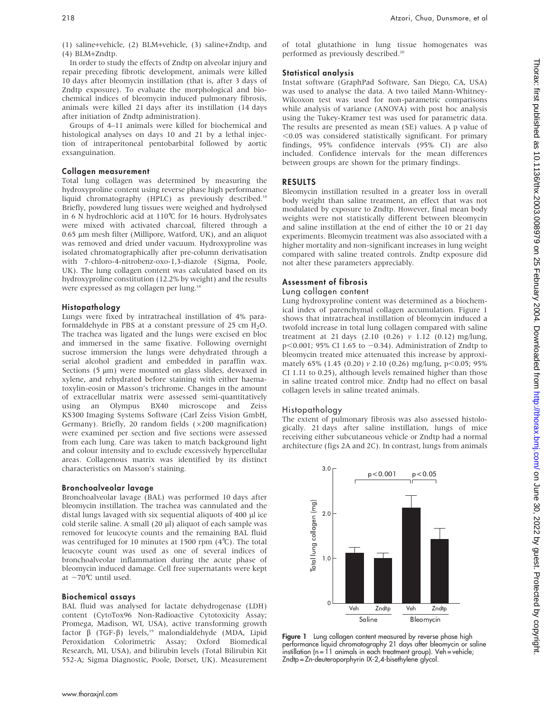(1) saline+vehicle, (2) BLM+vehicle, (3) saline+Zndtp, and (4) BLM+Zndtp.

In order to study the effects of Zndtp on alveolar injury and repair preceding fibrotic development, animals were killed 10 days after bleomycin instillation (that is, after 3 days of Zndtp exposure). To evaluate the morphological and biochemical indices of bleomycin induced pulmonary fibrosis, animals were killed 21 days after its instillation (14 days after initiation of Zndtp administration).

Groups of 4–11 animals were killed for biochemical and histological analyses on days 10 and 21 by a lethal injection of intraperitoneal pentobarbital followed by aortic exsanguination.

## Collagen measurement

Total lung collagen was determined by measuring the hydroxyproline content using reverse phase high performance liquid chromatography (HPLC) as previously described.<sup>18</sup> Briefly, powdered lung tissues were weighed and hydrolysed in 6 N hydrochloric acid at 110˚C for 16 hours. Hydrolysates were mixed with activated charcoal, filtered through a  $0.65$  µm mesh filter (Millipore, Watford, UK), and an aliquot was removed and dried under vacuum. Hydroxyproline was isolated chromatographically after pre-column derivatisation with 7-chloro-4-nitrobenz-oxo-1,3-diazole (Sigma, Poole, UK). The lung collagen content was calculated based on its hydroxyproline constitution (12.2% by weight) and the results were expressed as mg collagen per lung.18

## Histopathology

Lungs were fixed by intratracheal instillation of 4% paraformaldehyde in PBS at a constant pressure of 25 cm  $H_2O$ . The trachea was ligated and the lungs were excised en bloc and immersed in the same fixative. Following overnight sucrose immersion the lungs were dehydrated through a serial alcohol gradient and embedded in paraffin wax. Sections  $(5 \mu m)$  were mounted on glass slides, dewaxed in xylene, and rehydrated before staining with either haematoxylin-eosin or Masson's trichrome. Changes in the amount of extracellular matrix were assessed semi-quantitatively using an Olympus BX40 microscope and Zeiss KS300 Imaging Systems Software (Carl Zeiss Vision GmbH, Germany). Briefly, 20 random fields  $(x200$  magnification) were examined per section and five sections were assessed from each lung. Care was taken to match background light and colour intensity and to exclude excessively hypercellular areas. Collagenous matrix was identified by its distinct characteristics on Masson's staining.

#### Bronchoalveolar lavage

Bronchoalveolar lavage (BAL) was performed 10 days after bleomycin instillation. The trachea was cannulated and the distal lungs lavaged with six sequential aliquots of 400 µl ice cold sterile saline. A small  $(20 \mu l)$  aliquot of each sample was removed for leucocyte counts and the remaining BAL fluid was centrifuged for 10 minutes at 1500 rpm (4˚C). The total leucocyte count was used as one of several indices of bronchoalveolar inflammation during the acute phase of bleomycin induced damage. Cell free supernatants were kept at  $-70^{\circ}$ C until used.

#### Biochemical assays

BAL fluid was analysed for lactate dehydrogenase (LDH) content (CytoTox96 Non-Radioactive Cytotoxicity Assay; Promega, Madison, WI, USA), active transforming growth factor  $\beta$  (TGF- $\beta$ ) levels,<sup>19</sup> malondialdehyde (MDA, Lipid Peroxidation Colorimetric Assay; Oxford Biomedical Research, MI, USA), and bilirubin levels (Total Bilirubin Kit 552-A; Sigma Diagnostic, Poole, Dorset, UK). Measurement of total glutathione in lung tissue homogenates was performed as previously described.<sup>20</sup>

## Statistical analysis

Instat software (GraphPad Software, San Diego, CA, USA) was used to analyse the data. A two tailed Mann-Whitney-Wilcoxon test was used for non-parametric comparisons while analysis of variance (ANOVA) with post hoc analysis using the Tukey-Kramer test was used for parametric data. The results are presented as mean (SE) values. A p value of  $<$ 0.05 was considered statistically significant. For primary findings, 95% confidence intervals (95% CI) are also included. Confidence intervals for the mean differences between groups are shown for the primary findings.

#### RESULTS

Bleomycin instillation resulted in a greater loss in overall body weight than saline treatment, an effect that was not modulated by exposure to Zndtp. However, final mean body weights were not statistically different between bleomycin and saline instillation at the end of either the 10 or 21 day experiments. Bleomycin treatment was also associated with a higher mortality and non-significant increases in lung weight compared with saline treated controls. Zndtp exposure did not alter these parameters appreciably.

#### Assessment of fibrosis

#### Lung collagen content

Lung hydroxyproline content was determined as a biochemical index of parenchymal collagen accumulation. Figure 1 shows that intratracheal instillation of bleomycin induced a twofold increase in total lung collagen compared with saline treatment at 21 days (2.10 (0.26)  $v$  1.12 (0.12) mg/lung,  $p<0.001$ ; 95% CI 1.65 to  $-0.34$ ). Administration of Zndtp to bleomycin treated mice attenuated this increase by approximately 65% (1.45 (0.20)  $v$  2.10 (0.26) mg/lung, p<0.05; 95% CI 1.11 to 0.25), although levels remained higher than those in saline treated control mice. Zndtp had no effect on basal collagen levels in saline treated animals.

#### Histopathology

The extent of pulmonary fibrosis was also assessed histologically. 21 days after saline instillation, lungs of mice receiving either subcutaneous vehicle or Zndtp had a normal architecture (figs 2A and 2C). In contrast, lungs from animals



Figure 1 Lung collagen content measured by reverse phase high performance liquid chromatography 21 days after bleomycin or saline instillation (n = 11 animals in each treatment group). Veh = vehicle; Zndtp = Zn-deuteroporphyrin IX-2,4-bisethylene glycol.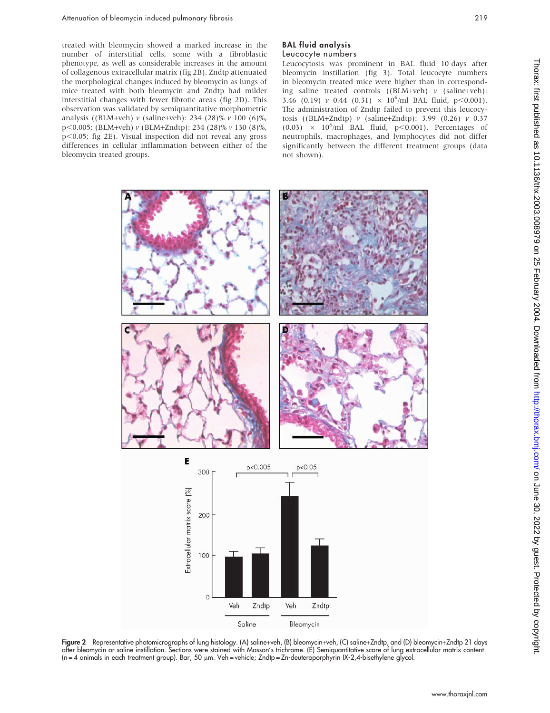treated with bleomycin showed a marked increase in the number of interstitial cells, some with a fibroblastic phenotype, as well as considerable increases in the amount of collagenous extracellular matrix (fig 2B). Zndtp attenuated the morphological changes induced by bleomycin as lungs of mice treated with both bleomycin and Zndtp had milder interstitial changes with fewer fibrotic areas (fig 2D). This observation was validated by semiquantitative morphometric analysis ((BLM+veh) v (saline+veh): 234 (28)% v 100 (6)%, p,0.005; (BLM+veh) v (BLM+Zndtp): 234 (28)% v 130 (8)%, p<0.05; fig 2E). Visual inspection did not reveal any gross differences in cellular inflammation between either of the bleomycin treated groups.

## BAL fluid analysis

#### Leucocyte numbers

Leucocytosis was prominent in BAL fluid 10 days after bleomycin instillation (fig 3). Total leucocyte numbers in bleomycin treated mice were higher than in corresponding saline treated controls  $((BLM+veh)$   $\nu$  (saline+veh): 3.46 (0.19) v 0.44 (0.31)  $\times$  10<sup>6</sup>/ml BAL fluid, p<0.001). The administration of Zndtp failed to prevent this leucocytosis ((BLM+Zndtp)  $v$  (saline+Zndtp): 3.99 (0.26)  $v$  0.37  $(0.03) \times 10^6$ /ml BAL fluid, p<0.001). Percentages of neutrophils, macrophages, and lymphocytes did not differ significantly between the different treatment groups (data not shown).



Figure 2 Representative photomicrographs of lung histology. (A) saline+veh, (B) bleomycin+veh, (C) saline+Zndtp, and (D) bleomycin+Zndtp 21 days after bleomycin or saline instillation. Sections were stained with Masson's trichrome. (E) Semiquantitative score of lung extracellular matrix content (n = 4 animals in each treatment group). Bar, 50 μm. Veh = vehicle; Zndtp = Zn-deuteroporphyrin IX-2,4-bisethylene glycol.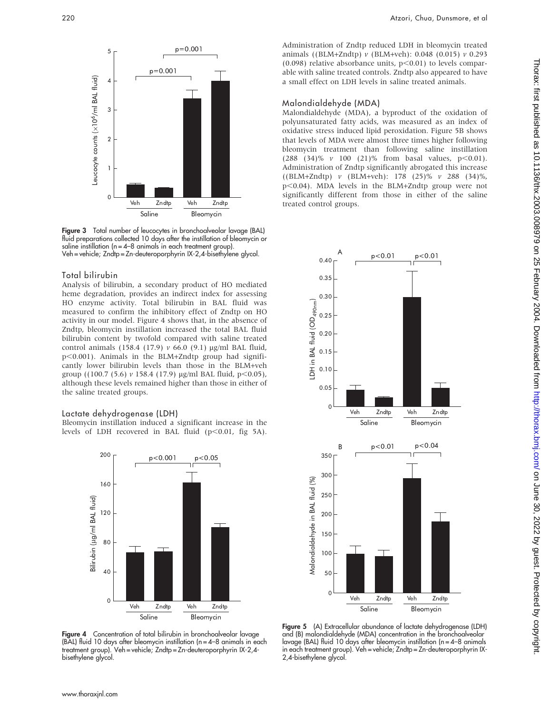

Figure 3 Total number of leucocytes in bronchoalveolar lavage (BAL) fluid preparations collected 10 days after the instillation of bleomycin or saline instillation ( $n = 4-8$  animals in each treatment group). Veh = vehicle; Zndtp = Zn-deuteroporphyrin IX-2,4-bisethylene glycol.

#### Total bilirubin

Analysis of bilirubin, a secondary product of HO mediated heme degradation, provides an indirect index for assessing HO enzyme activity. Total bilirubin in BAL fluid was measured to confirm the inhibitory effect of Zndtp on HO activity in our model. Figure 4 shows that, in the absence of Zndtp, bleomycin instillation increased the total BAL fluid bilirubin content by twofold compared with saline treated control animals (158.4 (17.9)  $\nu$  66.0 (9.1) µg/ml BAL fluid,  $p<0.001$ ). Animals in the BLM+Zndtp group had significantly lower bilirubin levels than those in the BLM+veh group ((100.7 (5.6)  $\nu$  158.4 (17.9)  $\mu$ g/ml BAL fluid, p<0.05), although these levels remained higher than those in either of the saline treated groups.

#### Lactate dehydrogenase (LDH)

Bleomycin instillation induced a significant increase in the levels of LDH recovered in BAL fluid  $(p<0.01$ , fig 5A).



Figure 4 Concentration of total bilirubin in bronchoalveolar lavage (BAL) fluid 10 days after bleomycin instillation ( $n = 4-8$  animals in each treatment group). Veh = vehicle; Zndtp = Zn-deuteroporphyrin IX-2,4 bisethylene glycol.

Administration of Zndtp reduced LDH in bleomycin treated animals ((BLM+Zndtp) v (BLM+veh): 0.048 (0.015) v 0.293 (0.098) relative absorbance units,  $p<0.01$ ) to levels comparable with saline treated controls. Zndtp also appeared to have a small effect on LDH levels in saline treated animals.

#### Malondialdehyde (MDA)

Malondialdehyde (MDA), a byproduct of the oxidation of polyunsaturated fatty acids, was measured as an index of oxidative stress induced lipid peroxidation. Figure 5B shows that levels of MDA were almost three times higher following bleomycin treatment than following saline instillation  $(288 \t (34)\% \t v 100 \t (21)\% \t from basal values, p<0.01).$ Administration of Zndtp significantly abrogated this increase ((BLM+Zndtp) v (BLM+veh): 178 (25)% v 288 (34)%, p<0.04). MDA levels in the BLM+Zndtp group were not significantly different from those in either of the saline treated control groups.



Figure 5 (A) Extracellular abundance of lactate dehydrogenase (LDH) and (B) malondialdehyde (MDA) concentration in the bronchoalveolar lavage (BAL) fluid 10 days after bleomycin instillation (n = 4–8 animals in each treatment group). Veh = vehicle; Zndtp = Zn-deuteroporphyrin IX-2,4-bisethylene glycol.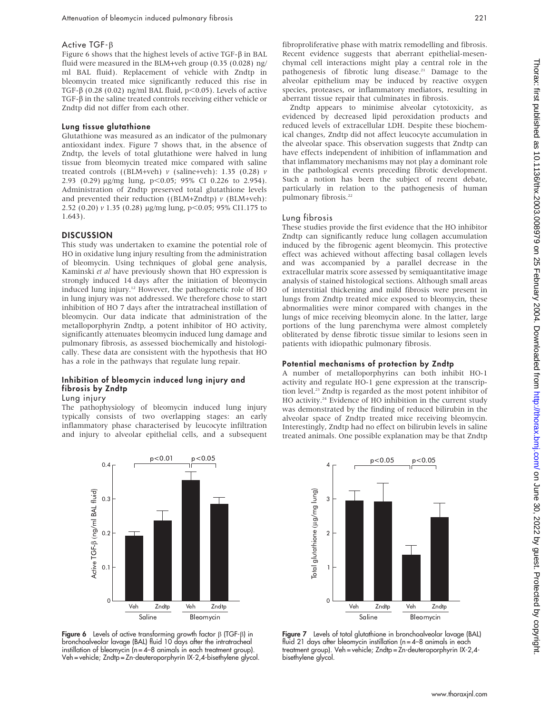#### Active TGF-B

Figure 6 shows that the highest levels of active TGF- $\beta$  in BAL fluid were measured in the BLM+veh group (0.35 (0.028) ng/ ml BAL fluid). Replacement of vehicle with Zndtp in bleomycin treated mice significantly reduced this rise in TGF- $\beta$  (0.28 (0.02) ng/ml BAL fluid, p<0.05). Levels of active  $TGF- $\beta$  in the saline treated controls receiving either vehicle or$ Zndtp did not differ from each other.

#### Lung tissue glutathione

Glutathione was measured as an indicator of the pulmonary antioxidant index. Figure 7 shows that, in the absence of Zndtp, the levels of total glutathione were halved in lung tissue from bleomycin treated mice compared with saline treated controls ((BLM+veh)  $\nu$  (saline+veh): 1.35 (0.28)  $\nu$ 2.93 (0.29)  $\mu$ g/mg lung, p<0.05; 95% CI 0.226 to 2.954). Administration of Zndtp preserved total glutathione levels and prevented their reduction ((BLM+Zndtp)  $\nu$  (BLM+veh): 2.52 (0.20)  $v$  1.35 (0.28) µg/mg lung, p<0.05; 95% CI1.175 to 1.643).

#### **DISCUSSION**

This study was undertaken to examine the potential role of HO in oxidative lung injury resulting from the administration of bleomycin. Using techniques of global gene analysis, Kaminski et al have previously shown that HO expression is strongly induced 14 days after the initiation of bleomycin induced lung injury.12 However, the pathogenetic role of HO in lung injury was not addressed. We therefore chose to start inhibition of HO 7 days after the intratracheal instillation of bleomycin. Our data indicate that administration of the metalloporphyrin Zndtp, a potent inhibitor of HO activity, significantly attenuates bleomycin induced lung damage and pulmonary fibrosis, as assessed biochemically and histologically. These data are consistent with the hypothesis that HO has a role in the pathways that regulate lung repair.

## Inhibition of bleomycin induced lung injury and fibrosis by Zndtp

#### Lung injury

The pathophysiology of bleomycin induced lung injury typically consists of two overlapping stages: an early inflammatory phase characterised by leucocyte infiltration and injury to alveolar epithelial cells, and a subsequent



Figure 6 Levels of active transforming growth factor  $\beta$  (TGF- $\beta$ ) in bronchoalveolar lavage (BAL) fluid 10 days after the intratracheal instillation of bleomycin ( $n = 4-8$  animals in each treatment group). Veh = vehicle; Zndtp = Zn-deuteroporphyrin IX-2,4-bisethylene glycol. fibroproliferative phase with matrix remodelling and fibrosis. Recent evidence suggests that aberrant epithelial-mesenchymal cell interactions might play a central role in the pathogenesis of fibrotic lung disease.<sup>21</sup> Damage to the alveolar epithelium may be induced by reactive oxygen species, proteases, or inflammatory mediators, resulting in aberrant tissue repair that culminates in fibrosis.

Zndtp appears to minimise alveolar cytotoxicity, as evidenced by decreased lipid peroxidation products and reduced levels of extracellular LDH. Despite these biochemical changes, Zndtp did not affect leucocyte accumulation in the alveolar space. This observation suggests that Zndtp can have effects independent of inhibition of inflammation and that inflammatory mechanisms may not play a dominant role in the pathological events preceding fibrotic development. Such a notion has been the subject of recent debate, particularly in relation to the pathogenesis of human pulmonary fibrosis.<sup>22</sup>

#### Lung fibrosis

These studies provide the first evidence that the HO inhibitor Zndtp can significantly reduce lung collagen accumulation induced by the fibrogenic agent bleomycin. This protective effect was achieved without affecting basal collagen levels and was accompanied by a parallel decrease in the extracellular matrix score assessed by semiquantitative image analysis of stained histological sections. Although small areas of interstitial thickening and mild fibrosis were present in lungs from Zndtp treated mice exposed to bleomycin, these abnormalities were minor compared with changes in the lungs of mice receiving bleomycin alone. In the latter, large portions of the lung parenchyma were almost completely obliterated by dense fibrotic tissue similar to lesions seen in patients with idiopathic pulmonary fibrosis.

#### Potential mechanisms of protection by Zndtp

A number of metalloporphyrins can both inhibit HO-1 activity and regulate HO-1 gene expression at the transcription level.23 Zndtp is regarded as the most potent inhibitor of HO activity.24 Evidence of HO inhibition in the current study was demonstrated by the finding of reduced bilirubin in the alveolar space of Zndtp treated mice receiving bleomycin. Interestingly, Zndtp had no effect on bilirubin levels in saline treated animals. One possible explanation may be that Zndtp



Figure 7 Levels of total glutathione in bronchoalveolar lavage (BAL) fluid 21 days after bleomycin instillation  $(n = 4-8)$  animals in each treatment group). Veh = vehicle; Zndtp = Zn-deuteroporphyrin IX-2,4 bisethylene glycol.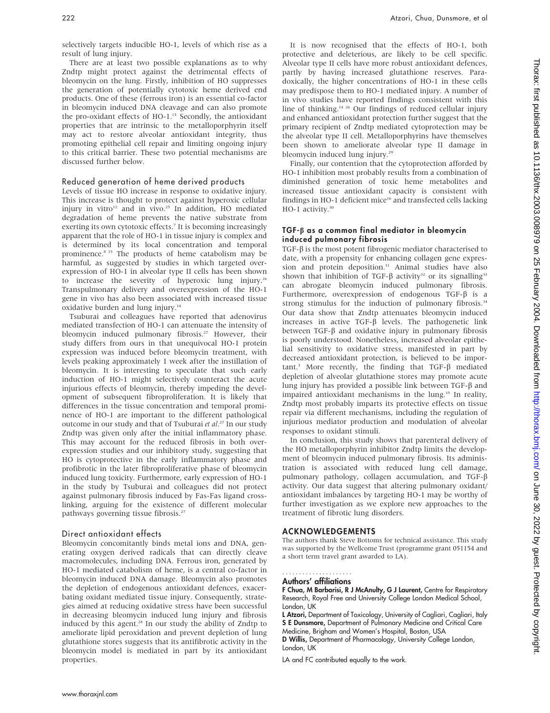selectively targets inducible HO-1, levels of which rise as a result of lung injury.

There are at least two possible explanations as to why Zndtp might protect against the detrimental effects of bleomycin on the lung. Firstly, inhibition of HO suppresses the generation of potentially cytotoxic heme derived end products. One of these (ferrous iron) is an essential co-factor in bleomycin induced DNA cleavage and can also promote the pro-oxidant effects of HO-1.15 Secondly, the antioxidant properties that are intrinsic to the metalloporphyrin itself may act to restore alveolar antioxidant integrity, thus promoting epithelial cell repair and limiting ongoing injury to this critical barrier. These two potential mechanisms are discussed further below.

## Reduced generation of heme derived products

Levels of tissue HO increase in response to oxidative injury. This increase is thought to protect against hyperoxic cellular injury in vitro<sup>12</sup> and in vivo.<sup>25</sup> In addition, HO mediated degradation of heme prevents the native substrate from exerting its own cytotoxic effects.7 It is becoming increasingly apparent that the role of HO-1 in tissue injury is complex and is determined by its local concentration and temporal prominence.<sup>8 15</sup> The products of heme catabolism may be harmful, as suggested by studies in which targeted overexpression of HO-1 in alveolar type II cells has been shown to increase the severity of hyperoxic lung injury.<sup>26</sup> Transpulmonary delivery and overexpression of the HO-1 gene in vivo has also been associated with increased tissue oxidative burden and lung injury.<sup>14</sup>

Tsuburai and colleagues have reported that adenovirus mediated transfection of HO-1 can attenuate the intensity of bleomycin induced pulmonary fibrosis.<sup>27</sup> However, their study differs from ours in that unequivocal HO-1 protein expression was induced before bleomycin treatment, with levels peaking approximately 1 week after the instillation of bleomycin. It is interesting to speculate that such early induction of HO-1 might selectively counteract the acute injurious effects of bleomycin, thereby impeding the development of subsequent fibroproliferation. It is likely that differences in the tissue concentration and temporal prominence of HO-1 are important to the different pathological outcome in our study and that of Tsuburai et al.<sup>27</sup> In our study Zndtp was given only after the initial inflammatory phase. This may account for the reduced fibrosis in both overexpression studies and our inhibitory study, suggesting that HO is cytoprotective in the early inflammatory phase and profibrotic in the later fibroproliferative phase of bleomycin induced lung toxicity. Furthermore, early expression of HO-1 in the study by Tsuburai and colleagues did not protect against pulmonary fibrosis induced by Fas-Fas ligand crosslinking, arguing for the existence of different molecular pathways governing tissue fibrosis.<sup>27</sup>

## Direct antioxidant effects

Bleomycin concomitantly binds metal ions and DNA, generating oxygen derived radicals that can directly cleave macromolecules, including DNA. Ferrous iron, generated by HO-1 mediated catabolism of heme, is a central co-factor in bleomycin induced DNA damage. Bleomycin also promotes the depletion of endogenous antioxidant defences, exacerbating oxidant mediated tissue injury. Consequently, strategies aimed at reducing oxidative stress have been successful in decreasing bleomycin induced lung injury and fibrosis induced by this agent.<sup>28</sup> In our study the ability of Zndtp to ameliorate lipid peroxidation and prevent depletion of lung glutathione stores suggests that its antifibrotic activity in the bleomycin model is mediated in part by its antioxidant properties.

It is now recognised that the effects of HO-1, both protective and deleterious, are likely to be cell specific. Alveolar type II cells have more robust antioxidant defences, partly by having increased glutathione reserves. Paradoxically, the higher concentrations of HO-1 in these cells may predispose them to HO-1 mediated injury. A number of in vivo studies have reported findings consistent with this line of thinking.14 26 Our findings of reduced cellular injury and enhanced antioxidant protection further suggest that the primary recipient of Zndtp mediated cytoprotection may be the alveolar type II cell. Metalloporphyrins have themselves been shown to ameliorate alveolar type II damage in bleomycin induced lung injury.<sup>29</sup>

Finally, our contention that the cytoprotection afforded by HO-1 inhibition most probably results from a combination of diminished generation of toxic heme metabolites and increased tissue antioxidant capacity is consistent with findings in HO-1 deficient mice<sup>16</sup> and transfected cells lacking HO-1 activity.<sup>30</sup>

## TGF-b as a common final mediator in bleomycin induced pulmonary fibrosis

 $TGF-\beta$  is the most potent fibrogenic mediator characterised to date, with a propensity for enhancing collagen gene expression and protein deposition.<sup>31</sup> Animal studies have also shown that inhibition of TGF- $\beta$  activity<sup>32</sup> or its signalling<sup>33</sup> can abrogate bleomycin induced pulmonary fibrosis. Furthermore, overexpression of endogenous TGF- $\beta$  is a strong stimulus for the induction of pulmonary fibrosis.<sup>34</sup> Our data show that Zndtp attenuates bleomycin induced increases in active TGF- $\beta$  levels. The pathogenetic link between TGF- $\beta$  and oxidative injury in pulmonary fibrosis is poorly understood. Nonetheless, increased alveolar epithelial sensitivity to oxidative stress, manifested in part by decreased antioxidant protection, is believed to be important.<sup>3</sup> More recently, the finding that TGF- $\beta$  mediated depletion of alveolar glutathione stores may promote acute lung injury has provided a possible link between TGF-b and impaired antioxidant mechanisms in the lung.<sup>35</sup> In reality, Zndtp most probably imparts its protective effects on tissue repair via different mechanisms, including the regulation of injurious mediator production and modulation of alveolar responses to oxidant stimuli.

In conclusion, this study shows that parenteral delivery of the HO metalloporphyrin inhibitor Zndtp limits the development of bleomycin induced pulmonary fibrosis. Its administration is associated with reduced lung cell damage, pulmonary pathology, collagen accumulation, and TGF-b activity. Our data suggest that altering pulmonary oxidant/ antioxidant imbalances by targeting HO-1 may be worthy of further investigation as we explore new approaches to the treatment of fibrotic lung disorders.

## ACKNOWLEDGEMENTS

The authors thank Steve Bottoms for technical assistance. This study was supported by the Wellcome Trust (programme grant 051154 and a short term travel grant awarded to LA).

#### Authors' affiliations .....................

F Chua, M Barbarisi, R J McAnulty, G J Laurent, Centre for Respiratory Research, Royal Free and University College London Medical School, London, UK

L Atzori, Department of Toxicology, University of Cagliari, Cagliari, Italy S E Dunsmore, Department of Pulmonary Medicine and Critical Care Medicine, Brigham and Women's Hospital, Boston, USA D Willis, Department of Pharmacology, University College London, London, UK

LA and FC contributed equally to the work.